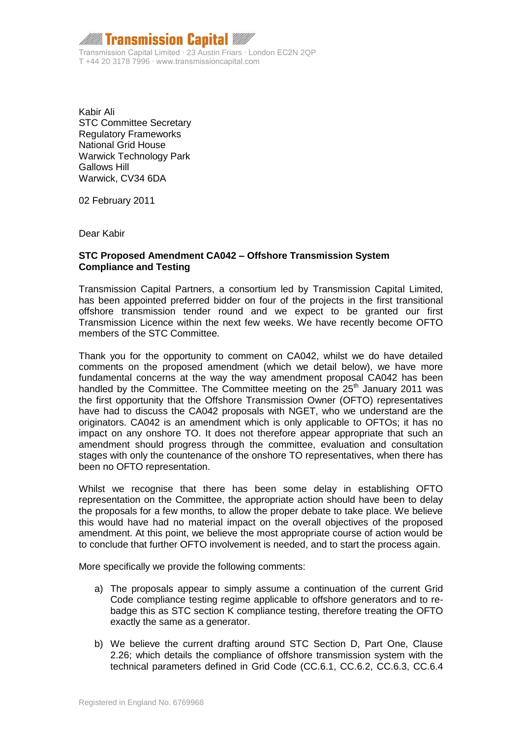$\,$  Transmission Capital  $\,$ Transmission Capital Limited ∙ 23 Austin Friars ∙ London EC2N 2QP T +44 20 3178 7996 ∙ www.transmissioncapital.com

Kabir Ali STC Committee Secretary Regulatory Frameworks National Grid House Warwick Technology Park Gallows Hill Warwick, CV34 6DA

02 February 2011

Dear Kabir

## **STC Proposed Amendment CA042 – Offshore Transmission System Compliance and Testing**

Transmission Capital Partners, a consortium led by Transmission Capital Limited, has been appointed preferred bidder on four of the projects in the first transitional offshore transmission tender round and we expect to be granted our first Transmission Licence within the next few weeks. We have recently become OFTO members of the STC Committee.

Thank you for the opportunity to comment on CA042, whilst we do have detailed comments on the proposed amendment (which we detail below), we have more fundamental concerns at the way the way amendment proposal CA042 has been handled by the Committee. The Committee meeting on the  $25<sup>th</sup>$  January 2011 was the first opportunity that the Offshore Transmission Owner (OFTO) representatives have had to discuss the CA042 proposals with NGET, who we understand are the originators. CA042 is an amendment which is only applicable to OFTOs; it has no impact on any onshore TO. It does not therefore appear appropriate that such an amendment should progress through the committee, evaluation and consultation stages with only the countenance of the onshore TO representatives, when there has been no OFTO representation.

Whilst we recognise that there has been some delay in establishing OFTO representation on the Committee, the appropriate action should have been to delay the proposals for a few months, to allow the proper debate to take place. We believe this would have had no material impact on the overall objectives of the proposed amendment. At this point, we believe the most appropriate course of action would be to conclude that further OFTO involvement is needed, and to start the process again.

More specifically we provide the following comments:

- a) The proposals appear to simply assume a continuation of the current Grid Code compliance testing regime applicable to offshore generators and to rebadge this as STC section K compliance testing, therefore treating the OFTO exactly the same as a generator.
- b) We believe the current drafting around STC Section D, Part One, Clause 2.26; which details the compliance of offshore transmission system with the technical parameters defined in Grid Code (CC.6.1, CC.6.2, CC.6.3, CC.6.4